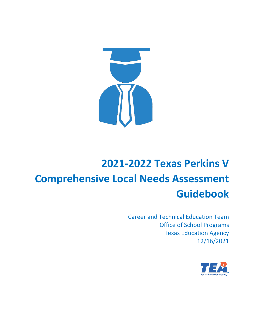

Career and Technical Education Team Office of School Programs Texas Education Agency 12/16/2021

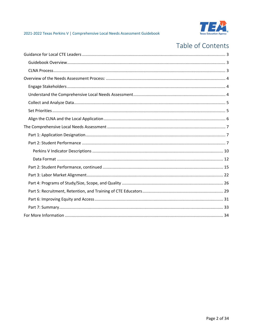

# Table of Contents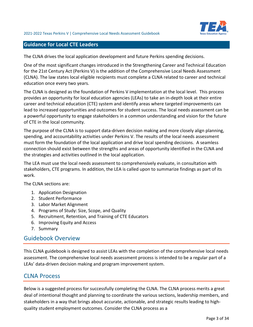

### <span id="page-2-0"></span>**Guidance for Local CTE Leaders**

The CLNA drives the local application development and future Perkins spending decisions.

One of the most significant changes introduced in the Strengthening Career and Technical Education for the 21st Century Act (Perkins V) is the addition of the Comprehensive Local Needs Assessment (CLNA). The law states local eligible recipients must complete a CLNA related to career and technical education once every two years.

The CLNA is designed as the foundation of Perkins V implementation at the local level. This process provides an opportunity for local education agencies (LEAs) to take an in-depth look at their entire career and technical education (CTE) system and identify areas where targeted improvements can lead to increased opportunities and outcomes for student success. The local needs assessment can be a powerful opportunity to engage stakeholders in a common understanding and vision for the future of CTE in the local community.

The purpose of the CLNA is to support data-driven decision making and more closely align planning, spending, and accountability activities under Perkins V. The results of the local needs assessment must form the foundation of the local application and drive local spending decisions. A seamless connection should exist between the strengths and areas of opportunity identified in the CLNA and the strategies and activities outlined in the local application.

The LEA must use the local needs assessment to comprehensively evaluate, in consultation with stakeholders, CTE programs. In addition, the LEA is called upon to summarize findings as part of its work.

The CLNA sections are:

- 1. Application Designation
- 2. Student Performance
- 3. Labor Market Alignment
- 4. Programs of Study: Size, Scope, and Quality
- 5. Recruitment, Retention, and Training of CTE Educators
- 6. Improving Equity and Access
- 7. Summary

# <span id="page-2-1"></span>Guidebook Overview

This CLNA guidebook is designed to assist LEAs with the completion of the comprehensive local needs assessment. The comprehensive local needs assessment process is intended to be a regular part of a LEAs' data-driven decision making and program improvement system.

# <span id="page-2-2"></span>CLNA Process

Below is a suggested process for successfully completing the CLNA. The CLNA process merits a great deal of intentional thought and planning to coordinate the various sections, leadership members, and stakeholders in a way that brings about accurate, actionable, and strategic results leading to highquality student employment outcomes. Consider the CLNA process as a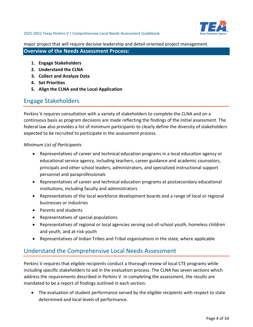

major project that will require decisive leadership and detail-oriented project management.

### <span id="page-3-0"></span>**Overview of the Needs Assessment Process:**

- **1. Engage Stakeholders**
- **2. Understand the CLNA**
- **3. Collect and Analyze Data**
- **4. Set Priorities**
- **5. Align the CLNA and the Local Application**

# <span id="page-3-1"></span>Engage Stakeholders

Perkins V requires consultation with a variety of stakeholders to complete the CLNA and on a continuous basis as program decisions are made reflecting the findings of the initial assessment. The federal law also provides a list of minimum participants to clearly define the diversity of stakeholders expected to be recruited to participate in the assessment process.

### *Minimum List of Participants*

- Representatives of career and technical education programs in a local education agency or educational service agency, including teachers, career guidance and academic counselors, principals and other school leaders, administrators, and specialized instructional support personnel and paraprofessionals
- Representatives of career and technical education programs at postsecondary educational institutions, including faculty and administrators
- Representatives of the local workforce development boards and a range of local or regional businesses or industries
- Parents and students
- Representatives of special populations
- Representatives of regional or local agencies serving out-of-school youth, homeless children and youth, and at-risk youth
- Representatives of Indian Tribes and Tribal organizations in the state, where applicable

# <span id="page-3-2"></span>Understand the Comprehensive Local Needs Assessment

Perkins V requires that eligible recipients conduct a thorough review of local CTE programs while including specific stakeholders to aid in the evaluation process. The CLNA has seven sections which address the requirements described in Perkins V. In completing the assessment, the results are mandated to be a report of findings outlined in each section:

• The evaluation of student performance served by the eligible recipients with respect to state determined and local levels of performance.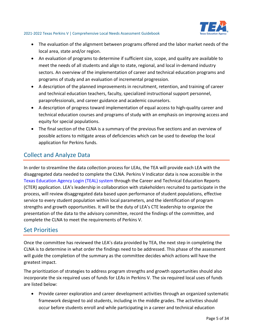

- The evaluation of the alignment between programs offered and the labor market needs of the local area, state and/or region.
- An evaluation of programs to determine if sufficient size, scope, and quality are available to meet the needs of all students and align to state, regional, and local in-demand industry sectors. An overview of the implementation of career and technical education programs and programs of study and an evaluation of incremental progression.
- A description of the planned improvements in recruitment, retention, and training of career and technical education teachers, faculty, specialized instructional support personnel, paraprofessionals, and career guidance and academic counselors.
- A description of progress toward implementation of equal access to high-quality career and technical education courses and programs of study with an emphasis on improving access and equity for special populations.
- The final section of the CLNA is a summary of the previous five sections and an overview of possible actions to mitigate areas of deficiencies which can be used to develop the local application for Perkins funds.

# <span id="page-4-0"></span>Collect and Analyze Data

In order to streamline the data collection process for LEAs, the TEA will provide each LEA with the disaggregated data needed to complete the CLNA. Perkins V Indicator data is now accessible in the [Texas Education Agency Login \(TEAL\) system](https://tealprod.tea.state.tx.us/) through the Career and Technical Education Reports (CTER) application. LEA's leadership in collaboration with stakeholders recruited to participate in the process, will review disaggregated data based upon performance of student populations, effective service to every student population within local parameters, and the identification of program strengths and growth opportunities. It will be the duty of LEA's CTE leadership to organize the presentation of the data to the advisory committee, record the findings of the committee, and complete the CLNA to meet the requirements of Perkins V.

# <span id="page-4-1"></span>Set Priorities

Once the committee has reviewed the LEA's data provided by TEA, the next step in completing the CLNA is to determine in what order the findings need to be addressed. This phase of the assessment will guide the completion of the summary as the committee decides which actions will have the greatest impact.

The prioritization of strategies to address program strengths and growth opportunities should also incorporate the six required uses of funds for LEAs in Perkins V. The six required local uses of funds are listed below:

• Provide career exploration and career development activities through an organized systematic framework designed to aid students, including in the middle grades. The activities should occur before students enroll and while participating in a career and technical education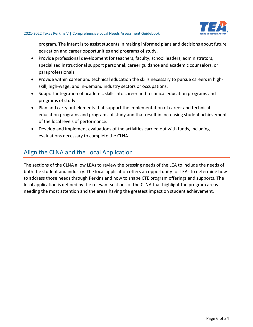

program. The intent is to assist students in making informed plans and decisions about future education and career opportunities and programs of study.

- Provide professional development for teachers, faculty, school leaders, administrators, specialized instructional support personnel, career guidance and academic counselors, or paraprofessionals.
- Provide within career and technical education the skills necessary to pursue careers in highskill, high-wage, and in-demand industry sectors or occupations.
- Support integration of academic skills into career and technical education programs and programs of study
- Plan and carry out elements that support the implementation of career and technical education programs and programs of study and that result in increasing student achievement of the local levels of performance.
- Develop and implement evaluations of the activities carried out with funds, including evaluations necessary to complete the CLNA.

# <span id="page-5-0"></span>Align the CLNA and the Local Application

The sections of the CLNA allow LEAs to review the pressing needs of the LEA to include the needs of both the student and industry. The local application offers an opportunity for LEAs to determine how to address those needs through Perkins and how to shape CTE program offerings and supports. The local application is defined by the relevant sections of the CLNA that highlight the program areas needing the most attention and the areas having the greatest impact on student achievement.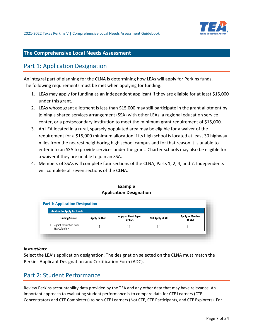

# <span id="page-6-0"></span>**The Comprehensive Local Needs Assessment**

# <span id="page-6-1"></span>Part 1: Application Designation

An integral part of planning for the CLNA is determining how LEAs will apply for Perkins funds. The following requirements must be met when applying for funding:

- 1. LEAs may apply for funding as an independent applicant if they are eligible for at least \$15,000 under this grant.
- 2. LEAs whose grant allotment is less than \$15,000 may still participate in the grant allotment by joining a shared services arrangement (SSA) with other LEAs, a regional education service center, or a postsecondary institution to meet the minimum grant requirement of \$15,000.
- 3. An LEA located in a rural, sparsely populated area may be eligible for a waiver of the requirement for a \$15,000 minimum allocation if its high school is located at least 30 highway miles from the nearest neighboring high school campus and for that reason it is unable to enter into an SSA to provide services under the grant. Charter schools may also be eligible for a waiver if they are unable to join an SSA.
- 4. Members of SSAs will complete four sections of the CLNA; Parts 1, 2, 4, and 7. Independents will complete all seven sections of the CLNA.

### **Example Application Designation**

| <b>Intention to Apply for Funds</b>                            |              |                                 |                  |                           |  |
|----------------------------------------------------------------|--------------|---------------------------------|------------------|---------------------------|--|
| <b>Funding Source</b>                                          | Apply on Own | Apply as Fiscal Agent<br>of SSA | Not Apply at All | Apply as Member<br>of SSA |  |
| <grant description="" from<br=""><br/>TEA Calendar&gt;</grant> |              |                                 |                  |                           |  |

#### *Instructions:*

Select the LEA's application designation. The designation selected on the CLNA must match the Perkins Applicant Designation and Certification Form (ADC).

# <span id="page-6-2"></span>Part 2: Student Performance

Review Perkins accountability data provided by the TEA and any other data that may have relevance. An important approach to evaluating student performance is to compare data for CTE Learners (CTE Concentrators and CTE Completers) to non-CTE Learners (Not CTE, CTE Participants, and CTE Explorers). For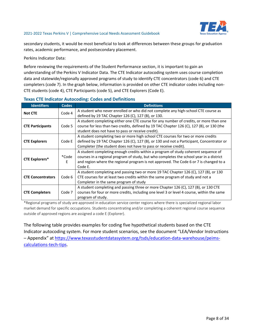

secondary students, it would be most beneficial to look at differences between these groups for graduation rates, academic performance, and postsecondary placement.

Perkins Indicator Data:

Before reviewing the requirements of the Student Performance section, it is important to gain an understanding of the Perkins V Indicator Data. The CTE Indicator autocoding system uses course completion data and statewide/regionally approved programs of study to identify CTE concentrators (code 6) and CTE completers (code 7). In the graph below, information is provided on other CTE indicator codes including non-CTE students (code 4), CTE Participants (code 5), and CTE Explorers (Code E).

| <b>Identifiers</b>       | <b>Codes</b> | <b>Definitions</b>                                                                                                                                                                                                                                                                 |
|--------------------------|--------------|------------------------------------------------------------------------------------------------------------------------------------------------------------------------------------------------------------------------------------------------------------------------------------|
| <b>Not CTE</b>           | Code 4       | A student who never enrolled or who did not complete any high-school CTE course as<br>defined by 19 TAC Chapter 126 (C), 127 (B), or 130.                                                                                                                                          |
| <b>CTE Participants</b>  | Code 5       | A student completing either one CTE course for any number of credits, or more than one<br>course for less than two credits, defined by 19 TAC Chapter 126 (C), 127 (B), or 130 (the<br>student does not have to pass or receive credit).                                           |
| <b>CTE Explorers</b>     | Code E       | A student completing two or more high school CTE courses for two or more credits<br>defined by 19 TAC Chapter 126 (C), 127 (B), or 130 and not a Participant, Concentrator or<br>Completer (the student does not have to pass or receive credit).                                  |
| <b>CTE Explorers*</b>    | *Code<br>E   | A student completing enough credits within a program of study coherent sequence of<br>courses in a regional program of study, but who completes the school year in a district<br>and region where the regional program is not approved. The Code 6 or 7 is changed to a<br>Code E. |
| <b>CTE Concentrators</b> | Code 6       | A student completing and passing two or more 19 TAC Chapter 126 (C), 127 (B), or 130<br>CTE courses for at least two credits within the same program of study and not a<br>Completer in the same program of study                                                                  |
| <b>CTE Completers</b>    | Code 7       | A student completing and passing three or more Chapter 126 (C), 127 (B), or 130 CTE<br>courses for four or more credits, including one level 3 or level 4 course, within the same<br>program of study.                                                                             |

### **Texas CTE Indicator Autocoding: Codes and Definitions**

\*Regional programs of study are approved in education service center regions where there is specialized regional labor market demand for specific occupations. Students concentrating and/or completing a coherent regional course sequence outside of approved regions are assigned a code E (Explorer).

The following table provides examples for coding five hypothetical students based on the CTE Indicator autocoding system. For more student scenarios, see the document "LEA/Vendor Instructions – Appendix" at [https://www.texasstudentdatasystem.org/tsds/education-data-warehouse/peims](https://www.texasstudentdatasystem.org/tsds/education-data-warehouse/peims-calculations-tech-tips)[calculations-tech-tips.](https://www.texasstudentdatasystem.org/tsds/education-data-warehouse/peims-calculations-tech-tips)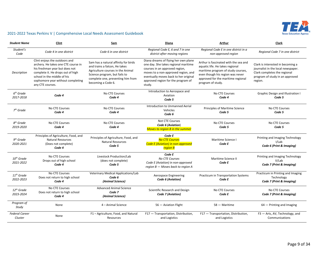

| <b>Student Name</b>                | Clint                                                                                                                                                                                                                               | Sam                                                                                                                                                                                                    | Diana                                                                                                                                                                                                                                          | Arthur                                                                                                                                                                                                        | Clark                                                                                                                                                 |
|------------------------------------|-------------------------------------------------------------------------------------------------------------------------------------------------------------------------------------------------------------------------------------|--------------------------------------------------------------------------------------------------------------------------------------------------------------------------------------------------------|------------------------------------------------------------------------------------------------------------------------------------------------------------------------------------------------------------------------------------------------|---------------------------------------------------------------------------------------------------------------------------------------------------------------------------------------------------------------|-------------------------------------------------------------------------------------------------------------------------------------------------------|
| Student's<br>Code                  | Code 4 in one district                                                                                                                                                                                                              | Code 6 in one district                                                                                                                                                                                 | Regional Code E, 6 and 7 in one<br>district after moving regions                                                                                                                                                                               | Regional Code E in one district in a<br>non-approved region                                                                                                                                                   | Regional Code 7 in one district                                                                                                                       |
| <b>Description</b>                 | Clint enjoys the outdoors and<br>archery. He takes one CTE course in<br>his freshman year but does not<br>complete it. He drops out of high<br>school in the middle of his<br>sophomore year without completing<br>any CTE courses. | Sam has a natural affinity for birds<br>and trains a falcon, He takes<br>Agriculture courses in the Animal<br>Science program, but fails to<br>complete one, preventing him from<br>becoming a Code 6. | Diana dreams of flying her own plane<br>one day. She takes regional maritime<br>courses in an approved region,<br>moves to a non-approved region, and<br>eventually moves back to her original<br>approved region for the program of<br>study. | Arthur is fascinated with the sea and<br>aquatic life. He takes regional<br>maritime program of study courses,<br>even though his region was never<br>approved for the maritime regional<br>program of study. | Clark is interested in becoming a<br>journalist in the local newspaper.<br>Clark completes the regional<br>program of study in an approved<br>region. |
| $6th$ Grade<br>2017-2018           | Code 4                                                                                                                                                                                                                              | No CTE Courses<br>Code 4                                                                                                                                                                               | Introduction to Aerospace and<br>Aviation<br>Code 5                                                                                                                                                                                            | No CTE Courses<br>Code 4                                                                                                                                                                                      | <b>Graphic Design and Illustration I</b><br>Code 5                                                                                                    |
| $7th$ Grade                        | No CTE Courses<br>Code 4                                                                                                                                                                                                            | No CTE Courses<br>Code 4                                                                                                                                                                               | Introduction to Unmanned Aerial<br>Vehicles<br>Code 6                                                                                                                                                                                          | Principles of Maritime Science<br>Code 5                                                                                                                                                                      | <b>No CTE Courses</b><br>Code 5                                                                                                                       |
| 8 <sup>th</sup> Grade<br>2019-2020 | <b>No CTE Courses</b><br>Code 4                                                                                                                                                                                                     | No CTE Courses<br>Code 4                                                                                                                                                                               | Not CTE Courses<br>Code 6 (Aviation)<br><b>Moves to region B in the summer</b>                                                                                                                                                                 | <b>No CTE Courses</b><br>Code 5                                                                                                                                                                               | <b>No CTE Courses</b><br>Code 5                                                                                                                       |
| $9th$ Grade<br>2020-2021           | Principles of Agriculture, Food, and<br><b>Natural Resources</b><br>(Does not complete)<br>Code 4                                                                                                                                   | Principles of Agriculture, Food, and<br><b>Natural Resources</b><br>Code 5                                                                                                                             | Code E<br><b>No CTE Courses</b><br>Code E (Aviation) in non-approved<br>region B                                                                                                                                                               | Maritime Science I<br>Code E                                                                                                                                                                                  | Printing and Imaging Technology<br>I/Lab<br>Code 6 (Print & Imaging)                                                                                  |
| $10^{th}$ Grade<br>2021-2022       | No CTE Courses<br>Drops out of high school<br>Code 4                                                                                                                                                                                | Livestock Production/Lab<br>(does not complete)<br>Code 5                                                                                                                                              | Code E<br><b>No CTE Courses</b><br>Code E (Aviation) in non-approved<br>region B - Moves back to region A                                                                                                                                      | Maritime Science II<br>Code E                                                                                                                                                                                 | Printing and Imaging Technology<br>II/Lab<br>Code 7 (Print & Imaging)                                                                                 |
| $11^{th}$ Grade<br>2022-2023       | No CTE Courses<br>Does not return to high school<br>Code 4                                                                                                                                                                          | Veterinary Medical Applications/Lab<br>Code 6<br>(Animal Science)                                                                                                                                      | Aerospace Engineering<br>Code 6 (Aviation)                                                                                                                                                                                                     | Practicum in Transportation Systems<br>Code E                                                                                                                                                                 | Practicum in Printing and Imaging<br>Technology<br>Code 7 (Print & Imaging)                                                                           |
| $12^{th}$ Grade<br>2023-2024       | No CTE Courses<br>Does not return to high school<br>Code 4                                                                                                                                                                          | <b>Advanced Animal Science</b><br>Code 7<br>(Animal Science)                                                                                                                                           | Scientific Research and Design<br>Code 7 (Aviation)                                                                                                                                                                                            | No CTE Courses<br>Code E                                                                                                                                                                                      | No CTE Courses<br>Code 7 (Print & Imaging)                                                                                                            |
| Program of<br>Study                | None                                                                                                                                                                                                                                | 4 - Animal Science                                                                                                                                                                                     | 56 - Aviation Flight                                                                                                                                                                                                                           | 58 - Maritime                                                                                                                                                                                                 | $64$ – Printing and Imaging                                                                                                                           |
| <b>Federal Career</b><br>Cluster   | None                                                                                                                                                                                                                                | F1-Agriculture, Food, and Natural<br>Resources                                                                                                                                                         | F17 - Transportation, Distribution,<br>and Logistics                                                                                                                                                                                           | F17 - Transportation, Distribution,<br>and Logistics                                                                                                                                                          | F3 - Arts, AV, Technology, and<br>Communications                                                                                                      |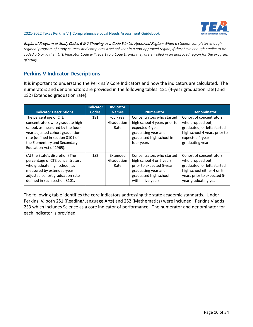

Regional Program of Study Codes 6 & 7 Showing as a Code E in Un-Approved Region: *When a student completes enough regional program of study courses and completes a school year in a non-approved region, if they have enough credits to be coded a 6 or 7, their CTE Indicator Code will revert to a Code E, until they are enrolled in an approved region for the program of study.*

# <span id="page-9-0"></span>**Perkins V Indicator Descriptions**

It is important to understand the Perkins V Core Indicators and how the indicators are calculated. The numerators and denominators are provided in the following tables: 1S1 (4-year graduation rate) and 1S2 (Extended graduation rate).

| <b>Indicator Descriptions</b>                                                                                                                                                                                                  | <b>Indicator</b><br><b>Codes</b> | <b>Indicator</b><br><b>Names</b> | <b>Numerator</b>                                                                                                                                       | <b>Denominator</b>                                                                                                                                            |
|--------------------------------------------------------------------------------------------------------------------------------------------------------------------------------------------------------------------------------|----------------------------------|----------------------------------|--------------------------------------------------------------------------------------------------------------------------------------------------------|---------------------------------------------------------------------------------------------------------------------------------------------------------------|
| The percentage of CTE<br>concentrators who graduate high<br>school, as measured by the four-<br>year adjusted cohort graduation<br>rate (defined in section 8101 of<br>the Elementary and Secondary<br>Education Act of 1965). | 1S1                              | Four-Year<br>Graduation<br>Rate  | Concentrators who started<br>high school 4 years prior to<br>expected 4-year<br>graduating year and<br>graduated high school in<br>four years          | Cohort of concentrators<br>who dropped out,<br>graduated, or left; started<br>high school 4 years prior to<br>expected 4-year<br>graduating year              |
| (At the State's discretion) The<br>percentage of CTE concentrators<br>who graduate high school, as<br>measured by extended-year<br>adjusted cohort graduation rate<br>defined in such section 8101.                            | 1S <sub>2</sub>                  | Extended<br>Graduation<br>Rate   | Concentrators who started<br>high school 4 or 5 years<br>prior to expected 5-year<br>graduating year and<br>graduated high school<br>within five years | Cohort of concentrators<br>who dropped out,<br>graduated, or left; started<br>high school either 4 or 5<br>years prior to expected 5-<br>year graduating year |

The following table identifies the core indicators addressing the state academic standards. Under Perkins IV, both 2S1 (Reading/Language Arts) and 2S2 (Mathematics) were included. Perkins V adds 2S3 which includes Science as a core indicator of performance. The numerator and denominator for each indicator is provided.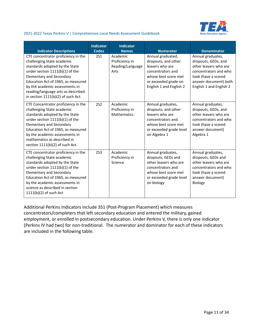

| <b>Indicator Descriptions</b>                                                                                                                                                                                                                                                                                                     | <b>Indicator</b><br>Codes | <b>Indicator</b><br><b>Names</b>                       | <b>Numerator</b>                                                                                                                                            | <b>Denominator</b>                                                                                                                                                    |
|-----------------------------------------------------------------------------------------------------------------------------------------------------------------------------------------------------------------------------------------------------------------------------------------------------------------------------------|---------------------------|--------------------------------------------------------|-------------------------------------------------------------------------------------------------------------------------------------------------------------|-----------------------------------------------------------------------------------------------------------------------------------------------------------------------|
| CTE concentrator proficiency in the<br>challenging State academic<br>standards adopted by the State<br>under section $1111(b)(1)$ of the<br><b>Elementary and Secondary</b><br>Education Act of 1965, as measured<br>by th4 academic assessments in<br>reading/language arts as described<br>in section $1111(b)(2)$ of such Act. | <b>2S1</b>                | Academic<br>Proficiency in<br>Reading/Language<br>Arts | Annual graduated,<br>dropouts, and other<br>leavers who are<br>concentrators and<br>whose best score met<br>or exceeded grade on<br>English 1 and English 2 | Annual graduates,<br>dropouts, GEDs, and<br>other leavers who are<br>concentrators and who<br>took (have a scored<br>answer document) both<br>English 1 and English 2 |
| CTE Concentrator proficiency in the<br>challenging State academic<br>standards adopted by the State<br>under section 1111(b)(1) of the<br><b>Elementary and Secondary</b><br>Education Act of 1965, as measured<br>by the academic assessments in<br>mathematics as described in<br>section 1111(b)(2) of such Act.               | <b>2S2</b>                | Academic<br>Proficiency in<br><b>Mathematics</b>       | Annual graduates,<br>dropouts, and other<br>leavers who are<br>concentrators and<br>whose best score met<br>or exceeded grade level<br>on Algebra 1         | Annual graduates,<br>dropouts, GEDs, and<br>other leavers who are<br>concentrators and who<br>took (have a scored<br>answer document)<br>Algebra 1                    |
| CTE concentrator proficiency in the<br>challenging State academic<br>standards adopted by the State<br>under section 1111(b)(1) of the<br><b>Elementary and Secondary</b><br>Education Act of 1965, as measured<br>by the academic assessments in<br>science as described in section<br>1111(b)(2) of such Act                    | <b>2S3</b>                | Academic<br>Proficiency in<br>Science                  | Annual graduates,<br>dropouts, GEDs and<br>other leavers who are<br>concentrators and<br>whose best score met<br>or exceeded grade level<br>on biology      | Annual graduates,<br>dropouts, GEDs and<br>other leavers who are<br>concentrators and who<br>took (have a scored<br>answer document)<br><b>Biology</b>                |

Additional Perkins Indicators include 3S1 (Post-Program Placement) which measures concentrators/completers that left secondary education and entered the military, gained employment, or enrolled in postsecondary education. Under Perkins V, there is only one indicator (Perkins IV had two) for non-traditional. The numerator and dominator for each of these indicators are included in the following table.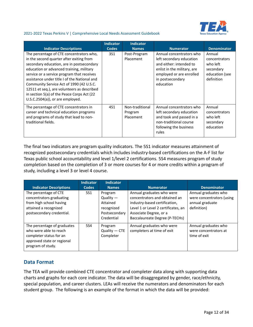

|                                                                                                                                                                                                                                                                                                                                                                                                                                                            | <b>Indicator</b> | <b>Indicator</b>                        |                                                                                                                                                                             |                                                                                  |
|------------------------------------------------------------------------------------------------------------------------------------------------------------------------------------------------------------------------------------------------------------------------------------------------------------------------------------------------------------------------------------------------------------------------------------------------------------|------------------|-----------------------------------------|-----------------------------------------------------------------------------------------------------------------------------------------------------------------------------|----------------------------------------------------------------------------------|
| <b>Indicator Descriptions</b>                                                                                                                                                                                                                                                                                                                                                                                                                              | <b>Codes</b>     | <b>Names</b>                            | <b>Numerator</b>                                                                                                                                                            | <b>Denominator</b>                                                               |
| The percentage of CTE concentrators who,<br>in the second quarter after exiting from<br>secondary education, are in postsecondary<br>education or advanced training, military<br>service or a service program that receives<br>assistance under title I of the National and<br>Community Service Act of 1990 (42 U.S.C.<br>12511 et seq.), are volunteers as described<br>in section 5(a) of the Peace Corps Act (22<br>$U.S.C.2504(a)$ , or are employed. | 3S1              | Post-Program<br>Placement               | Annual concentrators who<br>left secondary education<br>and either: intended to<br>enlist in the military, are<br>employed or are enrolled<br>in postsecondary<br>education | Annual<br>concentrators<br>who left<br>secondary<br>education (see<br>definition |
| The percentage of CTE concentrators in<br>career and technical education programs<br>and programs of study that lead to non-<br>traditional fields.                                                                                                                                                                                                                                                                                                        | 4S1              | Non-traditional<br>Program<br>Placement | Annual concentrators who<br>left secondary education<br>and took and passed in a<br>non-traditional course<br>following the business<br>rules                               | Annual<br>concentrators<br>who left<br>secondary<br>education                    |

The final two indicators are program quality indicators. The 5S1 indicator measures attainment of recognized postsecondary credentials which includes industry-based certifications on the A-F list for Texas public school accountability and level 1/level 2 certifications. 5S4 measures program of study completion based on the completion of 3 or more courses for 4 or more credits within a program of study, including a level 3 or level 4 course.

|                                                                                                                                     | <b>Indicator</b> | <b>Indicator</b>                                                                |                                                                                                                                                                                                |                                                                                     |
|-------------------------------------------------------------------------------------------------------------------------------------|------------------|---------------------------------------------------------------------------------|------------------------------------------------------------------------------------------------------------------------------------------------------------------------------------------------|-------------------------------------------------------------------------------------|
| <b>Indicator Descriptions</b>                                                                                                       | <b>Codes</b>     | <b>Names</b>                                                                    | <b>Numerator</b>                                                                                                                                                                               | <b>Denominator</b>                                                                  |
| The percentage of CTE<br>concentrators graduating<br>from high school having<br>attained a recognized<br>postsecondary credential.  | 5S1              | Program<br>$Quality -$<br>Attained<br>recognized<br>Postsecondary<br>Credential | Annual graduates who were<br>concentrators and obtained an<br>industry-based certification,<br>Level 1 or Level 2 certificates, an<br>Associate Degree, or a<br>Baccalaureate Degree (P-TECHs) | Annual graduates who<br>were concentrators (using<br>annual graduate<br>definition) |
| The percentage of graduates<br>who were able to reach<br>completer status for an<br>approved state or regional<br>program of study. | 5S4              | Program<br>$Quality - CTE$<br>Completer                                         | Annual graduates who were<br>completers at time of exit                                                                                                                                        | Annual graduates who<br>were concentrators at<br>time of exit                       |

# <span id="page-11-0"></span>**Data Format**

The TEA will provide combined CTE concentrator and completer data along with supporting data charts and graphs for each core indicator. The data will be disaggregated by gender, race/ethnicity, special population, and career clusters. LEAs will receive the numerators and denominators for each student group. The following is an example of the format in which the data will be provided: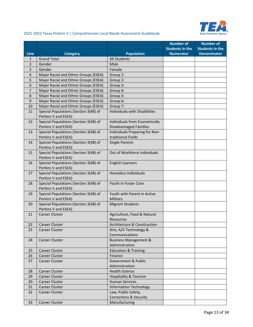

|                |                                                              |                                                          | <b>Number of</b>       | <b>Number of</b>       |
|----------------|--------------------------------------------------------------|----------------------------------------------------------|------------------------|------------------------|
|                |                                                              |                                                          | <b>Students in the</b> | <b>Students in the</b> |
| <b>Line</b>    | <b>Category</b>                                              | <b>Population</b>                                        | <b>Numerator</b>       | <b>Denominator</b>     |
| $\mathbf{1}$   | <b>Grand Total</b>                                           | <b>All Students</b>                                      |                        |                        |
| $\overline{2}$ | Gender                                                       | Male                                                     |                        |                        |
| 3              | Gender                                                       | Female                                                   |                        |                        |
| $\overline{4}$ | Major Racial and Ethnic Groups (ESEA)                        | Group 1:                                                 |                        |                        |
| 5              | Major Racial and Ethnic Groups (ESEA)                        | Group 2:                                                 |                        |                        |
| 6              | Major Racial and Ethnic Groups (ESEA)                        | Group 3:                                                 |                        |                        |
| $\overline{7}$ | Major Racial and Ethnic Groups (ESEA)                        | Group 4:                                                 |                        |                        |
| 8              | Major Racial and Ethnic Groups (ESEA)                        | Group 5:                                                 |                        |                        |
| 9              | Major Racial and Ethnic Groups (ESEA)                        | Group 6:                                                 |                        |                        |
| 10             | Major Racial and Ethnic Groups (ESEA)                        | Group 7:                                                 |                        |                        |
| 11             | Special Populations (Section 3(48) of<br>Perkins V and ESEA) | Individuals with Disabilities                            |                        |                        |
| 12             | Special Populations (Section 3(48) of                        | Individuals from Economically                            |                        |                        |
|                | Perkins V and ESEA)                                          | <b>Disadvantaged Families</b>                            |                        |                        |
| 13             | Special Populations (Section 3(48) of                        | Individuals Preparing for Non-                           |                        |                        |
|                | Perkins V and ESEA)                                          | traditional Fields                                       |                        |                        |
| 14             | Special Populations (Section 3(48) of<br>Perkins V and ESEA) | <b>Single Parents</b>                                    |                        |                        |
| 15             | Special Populations (Section 3(48) of<br>Perkins V and ESEA) | Out of Workforce Individuals                             |                        |                        |
| 16             | Special Populations (Section 3(48) of<br>Perkins V and ESEA) | <b>English Learners</b>                                  |                        |                        |
| 17             | Special Populations (Section 3(48) of<br>Perkins V and ESEA) | Homeless Individuals                                     |                        |                        |
| 18             | Special Populations (Section 3(48) of                        | Youth in Foster Care                                     |                        |                        |
|                | Perkins V and ESEA)                                          |                                                          |                        |                        |
| 19             | Special Populations (Section 3(48) of                        | Youth with Parent in Active                              |                        |                        |
|                | Perkins V and ESEA)                                          | Military                                                 |                        |                        |
| 20             | Special Populations (Section 3(48) of<br>Perkins V and ESEA) | <b>Migrant Students</b>                                  |                        |                        |
| 21             | <b>Career Cluster</b>                                        | Agriculture, Food & Natural                              |                        |                        |
|                |                                                              | Resources                                                |                        |                        |
| 22             | <b>Career Cluster</b>                                        | Architecture & Construction                              |                        |                        |
| 23             | Career Cluster                                               | Arts, A/V Technology &                                   |                        |                        |
|                |                                                              | Communications                                           |                        |                        |
| 24             | Career Cluster                                               | <b>Business Management &amp;</b>                         |                        |                        |
|                |                                                              | Administration                                           |                        |                        |
| 25             | Career Cluster                                               | <b>Education &amp; Training</b>                          |                        |                        |
| 26             | Career Cluster                                               | Finance                                                  |                        |                        |
| 27             | Career Cluster                                               | Government & Public                                      |                        |                        |
|                |                                                              | Administration                                           |                        |                        |
| 28             | Career Cluster                                               | <b>Health Science</b>                                    |                        |                        |
| 29             | Career Cluster                                               | Hospitality & Tourism                                    |                        |                        |
| 30             | Career Cluster                                               | <b>Human Services</b>                                    |                        |                        |
| 31             | Career Cluster                                               | <b>Information Technology</b>                            |                        |                        |
| 32             | Career Cluster                                               | Law, Public Safety,<br><b>Corrections &amp; Security</b> |                        |                        |
| 33             | Career Cluster                                               | Manufacturing                                            |                        |                        |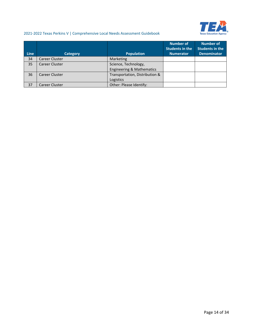

|             |                       |                                      | <b>Number of</b><br><b>Students in the</b> | <b>Number of</b><br><b>Students in the</b> |
|-------------|-----------------------|--------------------------------------|--------------------------------------------|--------------------------------------------|
| <b>Line</b> | <b>Category</b>       | <b>Population</b>                    | <b>Numerator</b>                           | <b>Denominator</b>                         |
| 34          | <b>Career Cluster</b> | Marketing                            |                                            |                                            |
| 35          | Career Cluster        | Science, Technology,                 |                                            |                                            |
|             |                       | <b>Engineering &amp; Mathematics</b> |                                            |                                            |
| 36          | Career Cluster        | Transportation, Distribution &       |                                            |                                            |
|             |                       | Logistics                            |                                            |                                            |
| 37          | <b>Career Cluster</b> | Other: Please Identify:              |                                            |                                            |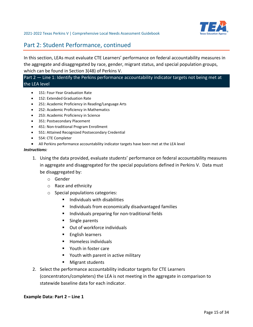

# <span id="page-14-0"></span>Part 2: Student Performance, continued

In this section, LEAs must evaluate CTE Learners' performance on federal accountability measures in the aggregate and disaggregated by race, gender, migrant status, and special population groups, which can be found in Section 3(48) of Perkins V.

### Part 2 – Line 1: Identify the Perkins performance accountability indicator targets not being met at the LEA level

- 1S1: Four-Year Graduation Rate
- 1S2: Extended Graduation Rate
- 2S1: Academic Proficiency in Reading/Language Arts
- 2S2: Academic Proficiency in Mathematics
- 2S3: Academic Proficiency in Science
- 3S1: Postsecondary Placement
- 4S1: Non-traditional Program Enrollment
- 5S1: Attained Recognized Postsecondary Credential
- 5S4: CTE Completer
- All Perkins performance accountability indicator targets have been met at the LEA level

#### *Instructions:*

- 1. Using the data provided, evaluate students' performance on federal accountability measures in aggregate and disaggregated for the special populations defined in Perkins V. Data must be disaggregated by:
	- o Gender
	- o Race and ethnicity
	- o Special populations categories:
		- $\blacksquare$  Individuals with disabilities
		- **Individuals from economically disadvantaged families**
		- **IF Individuals preparing for non-traditional fields**
		- **Single parents**
		- Out of workforce individuals
		- **English learners**
		- **Homeless individuals**
		- Youth in foster care
		- **P** Youth with parent in active military
		- Migrant students
- 2. Select the performance accountability indicator targets for CTE Learners (concentrators/completers) the LEA is not meeting in the aggregate in comparison to statewide baseline data for each indicator.

#### **Example Data: Part 2 – Line 1**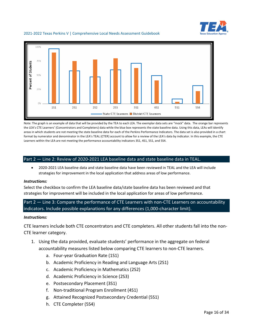



Note: The graph is an example of data that will be provided by the TEA to each LEA. The exemplar data sets are "mock" data. The orange bar represents the LEA's CTE Learners' (Concentrators and Completers) data while the blue box represents the state baseline data. Using this data, LEAs will identify areas in which students are not meeting the state baseline data for each of the Perkins Performance Indicators. The data set is also provided in a chart format by numerator and denominator in the LEA's TEAL (CTER) account to allow for a review of the LEA's data by indicator. In this example, the CTE Learners within the LEA are not meeting the performance accountability indicators 3S1, 4S1, 5S1, and 5S4.

#### Part 2 — Line 2: Review of 2020-2021 LEA baseline data and state baseline data in TEAL.

• 2020-2021 LEA baseline data and state baseline data have been reviewed in TEAL and the LEA will include strategies for improvement in the local application that address areas of low performance.

#### *Instructions:*

Select the checkbox to confirm the LEA baseline data/state baseline data has been reviewed and that strategies for improvement will be included in the local application for areas of low performance.

Part 2 — Line 3: Compare the performance of CTE Learners with non-CTE Learners on accountability indicators. Include possible explanations for any differences (1,000-character limit).

#### *Instructions:*

CTE learners include both CTE concentrators and CTE completers. All other students fall into the non-CTE learner category.

- 1. Using the data provided, evaluate students' performance in the aggregate on federal accountability measures listed below comparing CTE learners to non-CTE learners.
	- a. Four-year Graduation Rate (1S1)
	- b. Academic Proficiency in Reading and Language Arts (2S1)
	- c. Academic Proficiency in Mathematics (2S2)
	- d. Academic Proficiency in Science (2S3)
	- e. Postsecondary Placement (3S1)
	- f. Non-traditional Program Enrollment (4S1)
	- g. Attained Recognized Postsecondary Credential (5S1)
	- h. CTE Completer (5S4)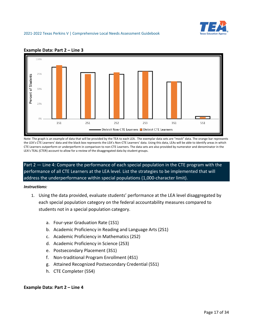



#### **Example Data: Part 2 – Line 3**

Note: The graph is an example of data that will be provided by the TEA to each LEA. The exemplar data sets are "mock" data. The orange bar represents the LEA's CTE Learners' data and the black box represents the LEA's Non-CTE Learners' data. Using this data, LEAs will be able to identify areas in which CTE Learners outperform or underperform in comparison to non-CTE Learners. The data sets are also provided by numerator and denominator in the LEA's TEAL (CTER) account to allow for a review of the disaggregated data by student groups.

Part 2 — Line 4: Compare the performance of each special population in the CTE program with the performance of all CTE Learners at the LEA level. List the strategies to be implemented that will address the underperformance within special populations (1,000-character limit).

#### *Instructions:*

- 1. Using the data provided, evaluate students' performance at the LEA level disaggregated by each special population category on the federal accountability measures compared to students not in a special population category.
	- a. Four-year Graduation Rate (1S1)
	- b. Academic Proficiency in Reading and Language Arts (2S1)
	- c. Academic Proficiency in Mathematics (2S2)
	- d. Academic Proficiency in Science (2S3)
	- e. Postsecondary Placement (3S1)
	- f. Non-traditional Program Enrollment (4S1)
	- g. Attained Recognized Postsecondary Credential (5S1)
	- h. CTE Completer (5S4)

#### **Example Data: Part 2 – Line 4**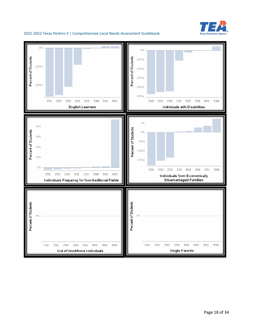

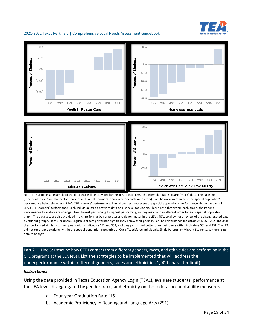



Note: The graph is an example of the data that will be provided by the TEA to each LEA. The exemplar data sets are "mock" data. The baseline (represented as 0%) is the performance of all LEA CTE Learners (Concentrators and Completers). Bars below zero represent the special population's performance below the overall LEA's CTE Learners' performance. Bars above zero represent the special population's performance above the overall LEA's CTE Learners' performance. Each individual graph provides data on a special population. Please note that within each graph, the Perkins Performance Indicators are arranged from lowest performing to highest performing, so they may be in a different order for each special population graph. The data sets are also provided in a chart format by numerator and denominator in the LEA's TEAL to allow for a review of the disaggregated data by student groups. In this example, English Learners performed significantly below their peers in Perkins Performance Indicators 2S1, 2S3, 2S2, and 3S1; they performed similarly to their peers within indicators 1S1 and 5S4; and they performed better than their peers within indicators 5S1 and 4S1. The LEA did not report any students within the special population categories of Out of Workforce Individuals, Single Parents, or Migrant Students, so there is no data to analyze.

Part 2 — Line 5: Describe how CTE Learners from different genders, races, and ethnicities are performing in the CTE programs at the LEA level. List the strategies to be implemented that will address the underperformance within different genders, races and ethnicities 1,000-character limit).

#### *Instructions:*

Using the data provided in Texas Education Agency Login (TEAL), evaluate students' performance at the LEA level disaggregated by gender, race, and ethnicity on the federal accountability measures.

a. Four-year Graduation Rate (1S1)

**Migrant Students** 

b. Academic Proficiency in Reading and Language Arts (2S1)

Youth with Parent in Active Military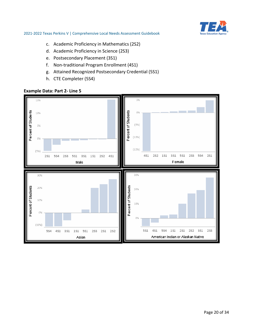

- c. Academic Proficiency in Mathematics (2S2)
- d. Academic Proficiency in Science (2S3)
- e. Postsecondary Placement (3S1)
- f. Non-traditional Program Enrollment (4S1)
- g. Attained Recognized Postsecondary Credential (5S1)
- h. CTE Completer (5S4)

### **Example Data: Part 2- Line 5**

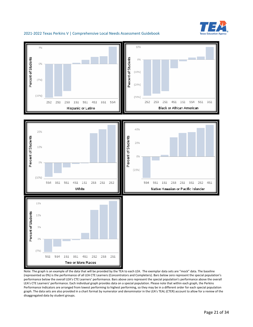



Note: The graph is an example of the data that will be provided by the TEA to each LEA. The exemplar data sets are "mock" data. The baseline (represented as 0%) is the performance of all LEA CTE Learners (Concentrators and Completers). Bars below zero represent the special population's performance below the overall LEA's CTE Learners' performance. Bars above zero represent the special population's performance above the overall LEA's CTE Learners' performance. Each individual graph provides data on a special population. Please note that within each graph, the Perkins Performance Indicators are arranged from lowest performing to highest performing, so they may be in a different order for each special population graph. The data sets are also provided in a chart format by numerator and denominator in the LEA's TEAL (CTER) account to allow for a review of the disaggregated data by student groups.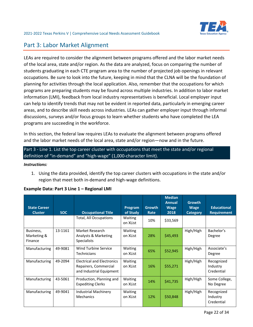# <span id="page-21-0"></span>Part 3: Labor Market Alignment

LEAs are required to consider the alignment between programs offered and the labor market needs of the local area, state and/or region. As the data are analyzed, focus on comparing the number of students graduating in each CTE program area to the number of projected job openings in relevant occupations. Be sure to look into the future, keeping in mind that the CLNA will be the foundation of planning for activities through the local application. Also, remember that the occupations for which programs are preparing students may be found across multiple industries. In addition to labor market information (LMI), feedback from local industry representatives is beneficial. Local employer input can help to identify trends that may not be evident in reported data, particularly in emerging career areas, and to describe skill needs across industries. LEAs can gather employer input through informal discussions, surveys and/or focus groups to learn whether students who have completed the LEA programs are succeeding in the workforce.

In this section, the federal law requires LEAs to evaluate the alignment between programs offered and the labor market needs of the local area, state and/or region—now and in the future.

# Part 3 - Line 1. List the top career cluster with occupations that meet the state and/or regional definition of "in-demand" and "high-wage" (1,000-character limit).

#### *Instructions:*

1. Using the data provided, identify the top career clusters with occupations in the state and/or region that meet both in-demand and high-wage definitions.

| <b>State Career</b><br><b>Cluster</b> | <b>SOC</b> | <b>Occupational Title</b>                                                              | Program<br>of Study        | <b>Growth</b><br>Rate | <b>Median</b><br>Annual<br><b>Wage</b><br>2018 | <b>Growth</b><br><b>Wage</b><br><b>Category</b> | <b>Educational</b><br><b>Requirement</b> |
|---------------------------------------|------------|----------------------------------------------------------------------------------------|----------------------------|-----------------------|------------------------------------------------|-------------------------------------------------|------------------------------------------|
|                                       |            | <b>Total, All Occupations</b>                                                          | <b>Waiting</b><br>on XList | 10%                   | \$33,569                                       |                                                 |                                          |
| Business,<br>Marketing &<br>Finance   | 13-1161    | Market Research<br>Analysts & Marketing<br>Specialists                                 | <b>Waiting</b><br>on XList | 28%                   | \$45,493                                       | High/High                                       | Bachelor's<br>Degree                     |
| Manufacturing                         | 49-9081    | Wind Turbine Service<br><b>Technicians</b>                                             | Waiting<br>on XList        | 65%                   | \$52,945                                       | High/High                                       | Associate's<br>Degree                    |
| Manufacturing                         | 49-2094    | <b>Electrical and Electronics</b><br>Repairers, Commercial<br>and Industrial Equipment | Waiting<br>on XList        | 16%                   | \$55,271                                       | High/High                                       | Recognized<br>Industry<br>Credential     |
| Manufacturing                         | 43-5061    | Production, Planning and<br><b>Expediting Clerks</b>                                   | Waiting<br>on XList        | 14%                   | \$41,735                                       | High/High                                       | Some College,<br>No Degree               |
| Manufacturing                         | 49-9041    | <b>Industrial Machinery</b><br>Mechanics                                               | <b>Waiting</b><br>on XList | 12%                   | \$50,848                                       | High/High                                       | Recognized<br>Industry<br>Credential     |

### **Example Data: Part 3 Line 1 – Regional LMI**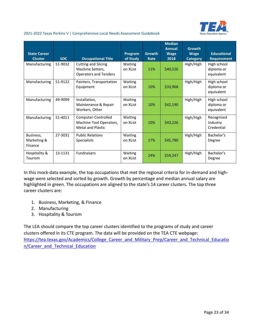

| <b>State Career</b><br><b>Cluster</b> | <b>SOC</b> | <b>Occupational Title</b>                                                      | Program<br>of Study | Growth<br>Rate | <b>Median</b><br><b>Annual</b><br><b>Wage</b><br>2018 | <b>Growth</b><br><b>Wage</b><br><b>Category</b> | <b>Educational</b><br><b>Requirement</b> |
|---------------------------------------|------------|--------------------------------------------------------------------------------|---------------------|----------------|-------------------------------------------------------|-------------------------------------------------|------------------------------------------|
| Manufacturing                         | 51-9032    | <b>Cutting and Slicing</b><br>Machine Setters,<br><b>Operators and Tenders</b> | Waiting<br>on XList | 11%            | \$40,526                                              | High/High                                       | High school<br>diploma or<br>equivalent  |
| Manufacturing                         | 51-9122    | Painters, Transportation<br>Equipment                                          | Waiting<br>on XList | 10%            | \$33,968                                              | High/High                                       | High school<br>diploma or<br>equivalent  |
| Manufacturing                         | 49-9099    | Installation,<br>Maintenance & Repair<br>Workers, Other                        | Waiting<br>on XList | 10%            | \$42,190                                              | High/High                                       | High school<br>diploma or<br>equivalent  |
| Manufacturing                         | 51-4011    | Computer-Controlled<br>Machine Tool Operators,<br><b>Metal and Plastic</b>     | Waiting<br>on XList | 10%            | \$43,226                                              | High/High                                       | Recognized<br>Industry<br>Credential     |
| Business,<br>Marketing &<br>Finance   | 27-3031    | <b>Public Relations</b><br><b>Specialists</b>                                  | Waiting<br>on XList | 17%            | \$45,780                                              | High/High                                       | Bachelor's<br>Degree                     |
| Hospitality &<br>Tourism              | 13-1131    | Fundraisers                                                                    | Waiting<br>on XList | 24%            | \$59,247                                              | High/High                                       | Bachelor's<br>Degree                     |

In this mock-data example, the top occupations that met the regional criteria for in-demand and highwage were selected and sorted by growth. Growth by percentage and median annual salary are highlighted in green. The occupations are aligned to the state's 14 career clusters. The top three career clusters are:

- 1. Business, Marketing, & Finance
- 2. Manufacturing
- 3. Hospitality & Tourism

The LEA should compare the top career clusters identified to the programs of study and career clusters offered in its CTE program. The data will be provided on the TEA CTE webpage: [https://tea.texas.gov/Academics/College\\_Career\\_and\\_Military\\_Prep/Career\\_and\\_Technical\\_Educatio](https://tea.texas.gov/Academics/College_Career_and_Military_Prep/Career_and_Technical_Education/Career_and_Technical_Education) [n/Career\\_and\\_Technical\\_Education](https://tea.texas.gov/Academics/College_Career_and_Military_Prep/Career_and_Technical_Education/Career_and_Technical_Education)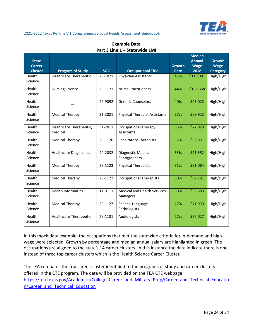

| <b>Example Data</b>           |  |  |  |  |  |
|-------------------------------|--|--|--|--|--|
| Part 3 Line 1 - Statewide LMI |  |  |  |  |  |

| <b>State</b>                    |                                    |            |                                                |                       | <b>Median</b><br><b>Annual</b> | <b>Growth</b>                  |
|---------------------------------|------------------------------------|------------|------------------------------------------------|-----------------------|--------------------------------|--------------------------------|
| <b>Career</b><br><b>Cluster</b> | <b>Program of Study</b>            | <b>SOC</b> | <b>Occupational Title</b>                      | <b>Growth</b><br>Rate | <b>Wage</b><br>2018            | <b>Wage</b><br><b>Category</b> |
| Health<br>Science               | <b>Healthcare Therapeutic</b>      | 29-1071    | <b>Physician Assistants</b>                    | 45%                   | \$110,081                      | High/High                      |
| Health<br>Science               | <b>Nursing Science</b>             | 29-1171    | <b>Nurse Practitioners</b>                     | 44%                   | \$108,658                      | High/High                      |
| Health<br>Science               |                                    | 29-9092    | <b>Genetic Counselors</b>                      | 40%                   | \$95,023                       | High/High                      |
| Health<br>Science               | <b>Medical Therapy</b>             | 31-2021    | <b>Physical Therapist Assistants</b>           | 37%                   | \$69,923                       | High/High                      |
| Health<br>Science               | Healthcare Therapeutic,<br>Medical | 31-2011    | <b>Occupational Therapy</b><br>Assistants      | 36%                   | \$72,929                       | High/High                      |
| Health<br>Science               | <b>Medical Therapy</b>             | 29-1126    | <b>Respiratory Therapists</b>                  | 35%                   | \$58,931                       | High/High                      |
| Health<br>Science               | <b>Healthcare Diagnostics</b>      | 29-2032    | Diagnostic Medical<br>Sonographers             | 35%                   | \$71,552                       | High/High                      |
| Health<br>Science               | <b>Medical Therapy</b>             | 29-1123    | <b>Physical Therapists</b>                     | 31%                   | \$91,064                       | High/High                      |
| Health<br>Science               | <b>Medical Therapy</b>             | 29-1122    | <b>Occupational Therapists</b>                 | 30%                   | \$87,781                       | High/High                      |
| Health<br>Science               | <b>Health Informatics</b>          | 11-9111    | <b>Medical and Health Services</b><br>Managers | 30%                   | \$95,583                       | High/High                      |
| Health<br>Science               | <b>Medical Therapy</b>             | 29-1127    | Speech-Language<br>Pathologists                | 27%                   | \$71,939                       | High/High                      |
| Health<br>Science               | <b>Healthcare Therapeutic</b>      | 29-1181    | Audiologists                                   | 27%                   | \$75,027                       | High/High                      |

In this mock-data example, the occupations that met the statewide criteria for in-demand and high wage were selected. Growth by percentage and median annual salary are highlighted in green. The occupations are aligned to the state's 14 career clusters. In this instance the data indicate there is one instead of three top career clusters which is the Health Science Career Cluster.

The LEA compares the top career cluster identified to the programs of study and career clusters offered in the CTE program. The data will be provided on the TEA CTE webpage: https://tea.texas.gov/Academics/College Career and Military Prep/Career and Technical Educatio [n/Career\\_and\\_Technical\\_Education](https://tea.texas.gov/Academics/College_Career_and_Military_Prep/Career_and_Technical_Education/Career_and_Technical_Education)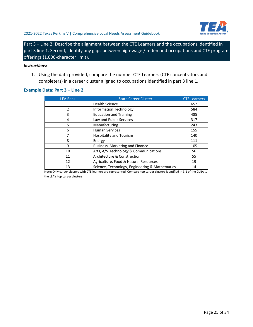

Part 3 – Line 2: Describe the alignment between the CTE Learners and the occupations identified in part 3 line 1. Second, identify any gaps between high-wage /in-demand occupations and CTE program offerings (1,000-character limit).

#### *Instructions:*

1. Using the data provided, compare the number CTE Learners (CTE concentrators and completers) in a career cluster aligned to occupations identified in part 3 line 1.

### **Example Data: Part 3 – Line 2**

| <b>LEA Rank</b> | <b>State Career Cluster</b>                    | <b>CTE Learners</b> |
|-----------------|------------------------------------------------|---------------------|
| 1               | <b>Health Science</b>                          | 652                 |
| 2               | Information Technology                         | 584                 |
| 3               | <b>Education and Training</b>                  | 485                 |
| 4               | <b>Law and Public Services</b>                 | 317                 |
| 5               | Manufacturing                                  | 243                 |
| 6               | <b>Human Services</b>                          | 155                 |
| 7               | <b>Hospitality and Tourism</b>                 | 140                 |
| 8               | Energy                                         | 111                 |
| 9               | Business, Marketing and Finance                | 105                 |
| 10              | Arts, A/V Technology & Communications          | 56                  |
| 11              | Architecture & Construction                    | 55                  |
| 12              | Agriculture, Food & Natural Resources          | 19                  |
| 13              | Science, Technology, Engineering & Mathematics | 14                  |

Note: Only career clusters with CTE learners are represented. Compare top career clusters identified in 3.1 of the CLNA to the LEA's top career clusters.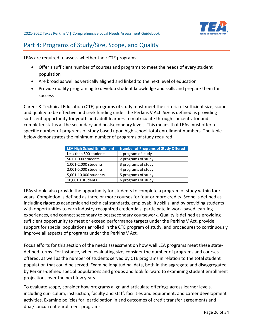

# <span id="page-25-0"></span>Part 4: Programs of Study/Size, Scope, and Quality

LEAs are required to assess whether their CTE programs:

- Offer a sufficient number of courses and programs to meet the needs of every student population
- Are broad as well as vertically aligned and linked to the next level of education
- Provide quality programing to develop student knowledge and skills and prepare them for success

Career & Technical Education (CTE) programs of study must meet the criteria of sufficient size, scope, and quality to be effective and seek funding under the Perkins V Act. Size is defined as providing sufficient opportunity for youth and adult learners to matriculate through concentrator and completer status at the secondary and postsecondary levels. This means that LEAs must offer a specific number of programs of study based upon high school total enrollment numbers. The table below demonstrates the minimum number of programs of study required:

| <b>LEA High School Enrollment</b> | <b>Number of Programs of Study Offered</b> |
|-----------------------------------|--------------------------------------------|
| Less than 500 students            | 1 program of study                         |
| 501-1,000 students                | 2 programs of study                        |
| 1,001-2,000 students              | 3 programs of study                        |
| 2,001-5,000 students              | 4 programs of study                        |
| 5,001-10,000 students             | 5 programs of study                        |
| $10,001 +$ students               | 6 programs of study                        |

LEAs should also provide the opportunity for students to complete a program of study within four years. Completion is defined as three or more courses for four or more credits. Scope is defined as including rigorous academic and technical standards, employability skills, and by providing students with opportunities to earn industry-recognized credentials, participate in work-based learning experiences, and connect secondary to postsecondary coursework. Quality is defined as providing sufficient opportunity to meet or exceed performance targets under the Perkins V Act, provide support for special populations enrolled in the CTE program of study, and procedures to continuously improve all aspects of programs under the Perkins V Act.

Focus efforts for this section of the needs assessment on how well LEA programs meet these statedefined terms. For instance, when evaluating size, consider the number of programs and courses offered, as well as the number of students served by CTE programs in relation to the total student population that could be served. Examine longitudinal data, both in the aggregate and disaggregated by Perkins-defined special populations and groups and look forward to examining student enrollment projections over the next few years.

To evaluate scope, consider how programs align and articulate offerings across learner levels, including curriculum, instruction, faculty and staff, facilities and equipment, and career development activities. Examine policies for, participation in and outcomes of credit transfer agreements and dual/concurrent enrollment programs.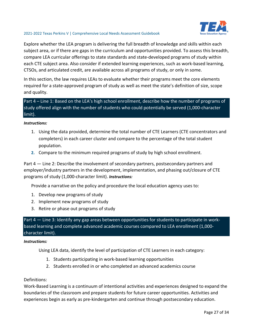

Explore whether the LEA program is delivering the full breadth of knowledge and skills within each subject area, or if there are gaps in the curriculum and opportunities provided. To assess this breadth, compare LEA curricular offerings to state standards and state-developed programs of study within each CTE subject area. Also consider if extended learning experiences, such as work-based learning, CTSOs, and articulated credit, are available across all programs of study, or only in some.

In this section, the law requires LEAs to evaluate whether their programs meet the core elements required for a state-approved program of study as well as meet the state's definition of size, scope and quality.

Part 4 – Line 1: Based on the LEA's high school enrollment, describe how the number of programs of study offered align with the number of students who could potentially be served (1,000-character limit).

#### *Instructions:*

- 1. Using the data provided, determine the total number of CTE Learners (CTE concentrators and completers) in each career cluster and compare to the percentage of the total student population.
- **2.** Compare to the minimum required programs of study by high school enrollment.

Part 4 — Line 2: Describe the involvement of secondary partners, postsecondary partners and employer/industry partners in the development, implementation, and phasing out/closure of CTE programs of study (1,000-character limit). *Instructions:*

Provide a narrative on the policy and procedure the local education agency uses to:

- 1. Develop new programs of study
- 2. Implement new programs of study
- 3. Retire or phase out programs of study

Part 4 — Line 3: Identify any gap areas between opportunities for students to participate in workbased learning and complete advanced academic courses compared to LEA enrollment (1,000 character limit).

#### *Instructions:*

Using LEA data, identify the level of participation of CTE Learners in each category:

- 1. Students participating in work-based learning opportunities
- 2. Students enrolled in or who completed an advanced academics course

### Definitions:

Work-Based Learning is a continuum of intentional activities and experiences designed to expand the boundaries of the classroom and prepare students for future career opportunities. Activities and experiences begin as early as pre-kindergarten and continue through postsecondary education.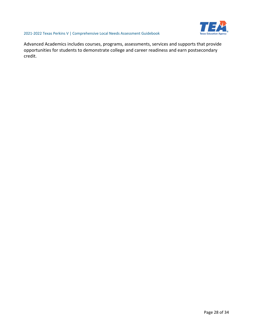

Advanced Academics includes courses, programs, assessments, services and supports that provide opportunities for students to demonstrate college and career readiness and earn postsecondary credit.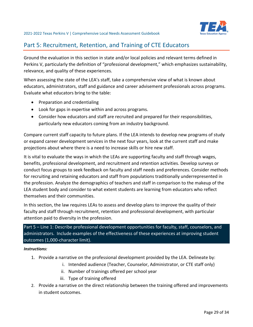

# <span id="page-28-0"></span>Part 5: Recruitment, Retention, and Training of CTE Educators

Ground the evaluation in this section in state and/or local policies and relevant terms defined in Perkins V, particularly the definition of "professional development," which emphasizes sustainability, relevance, and quality of these experiences.

When assessing the state of the LEA's staff, take a comprehensive view of what is known about educators, administrators, staff and guidance and career advisement professionals across programs. Evaluate what educators bring to the table:

- Preparation and credentialing
- Look for gaps in expertise within and across programs.
- Consider how educators and staff are recruited and prepared for their responsibilities, particularly new educators coming from an industry background.

Compare current staff capacity to future plans. If the LEA intends to develop new programs of study or expand career development services in the next four years, look at the current staff and make projections about where there is a need to increase skills or hire new staff.

It is vital to evaluate the ways in which the LEAs are supporting faculty and staff through wages, benefits, professional development, and recruitment and retention activities. Develop surveys or conduct focus groups to seek feedback on faculty and staff needs and preferences. Consider methods for recruiting and retaining educators and staff from populations traditionally underrepresented in the profession. Analyze the demographics of teachers and staff in comparison to the makeup of the LEA student body and consider to what extent students are learning from educators who reflect themselves and their communities.

In this section, the law requires LEAs to assess and develop plans to improve the quality of their faculty and staff through recruitment, retention and professional development, with particular attention paid to diversity in the profession.

Part 5 – Line 1: Describe professional development opportunities for faculty, staff, counselors, and administrators. Include examples of the effectiveness of these experiences at improving student outcomes (1,000-character limit).

*Instructions:*

- 1. Provide a narrative on the professional development provided by the LEA. Delineate by:
	- i. Intended audience (Teacher, Counselor, Administrator, or CTE staff only)
	- ii. Number of trainings offered per school year
	- iii. Type of training offered
- 2. Provide a narrative on the direct relationship between the training offered and improvements in student outcomes.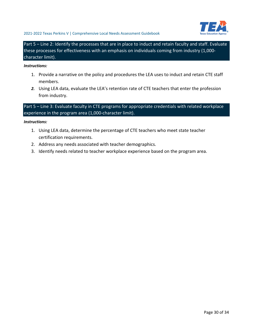

Part 5 – Line 2: Identify the processes that are in place to induct and retain faculty and staff. Evaluate these processes for effectiveness with an emphasis on individuals coming from industry (1,000 character limit).

#### *Instructions:*

- 1. Provide a narrative on the policy and procedures the LEA uses to induct and retain CTE staff members.
- *2.* Using LEA data, evaluate the LEA's retention rate of CTE teachers that enter the profession from industry.

Part 5 – Line 3: Evaluate faculty in CTE programs for appropriate credentials with related workplace experience in the program area (1,000-character limit).

#### *Instructions:*

- 1. Using LEA data, determine the percentage of CTE teachers who meet state teacher certification requirements.
- 2. Address any needs associated with teacher demographics.
- 3. Identify needs related to teacher workplace experience based on the program area.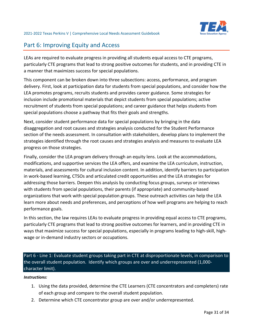# <span id="page-30-0"></span>Part 6: Improving Equity and Access

LEAs are required to evaluate progress in providing all students equal access to CTE programs, particularly CTE programs that lead to strong positive outcomes for students, and in providing CTE in a manner that maximizes success for special populations.

This component can be broken down into three subsections: access, performance, and program delivery. First, look at participation data for students from special populations, and consider how the LEA promotes programs, recruits students and provides career guidance. Some strategies for inclusion include promotional materials that depict students from special populations; active recruitment of students from special populations; and career guidance that helps students from special populations choose a pathway that fits their goals and strengths.

Next, consider student performance data for special populations by bringing in the data disaggregation and root causes and strategies analysis conducted for the Student Performance section of the needs assessment. In consultation with stakeholders, develop plans to implement the strategies identified through the root causes and strategies analysis and measures to evaluate LEA progress on those strategies.

Finally, consider the LEA program delivery through an equity lens. Look at the accommodations, modifications, and supportive services the LEA offers, and examine the LEA curriculum, instruction, materials, and assessments for cultural inclusion content. In addition, identify barriers to participation in work-based learning, CTSOs and articulated credit opportunities and the LEA strategies for addressing those barriers. Deepen this analysis by conducting focus groups, surveys or interviews with students from special populations, their parents (if appropriate) and community-based organizations that work with special population groups. These outreach activities can help the LEA learn more about needs and preferences, and perceptions of how well programs are helping to reach performance goals.

In this section, the law requires LEAs to evaluate progress in providing equal access to CTE programs, particularly CTE programs that lead to strong positive outcomes for learners, and in providing CTE in ways that maximize success for special populations, especially in programs leading to high-skill, highwage or in-demand industry sectors or occupations.

Part 6 - Line 1: Evaluate student groups taking part in CTE at disproportionate levels, in comparison to the overall student population. Identify which groups are over and underrepresented (1,000 character limit).

#### *Instructions:*

- 1. Using the data provided, determine the CTE Learners (CTE concentrators and completers) rate of each group and compare to the overall student population.
- 2. Determine which CTE concentrator group are over and/or underrepresented.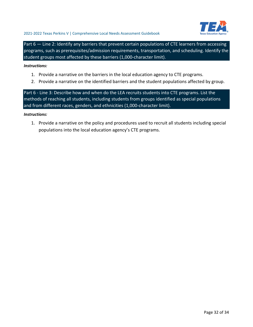

Part 6 – Line 2: Identify any barriers that prevent certain populations of CTE learners from accessing programs, such as prerequisites/admission requirements, transportation, and scheduling. Identify the student groups most affected by these barriers (1,000-character limit).

#### *Instructions:*

- 1. Provide a narrative on the barriers in the local education agency to CTE programs.
- 2. Provide a narrative on the identified barriers and the student populations affected by group.

Part 6 - Line 3: Describe how and when do the LEA recruits students into CTE programs. List the methods of reaching all students, including students from groups identified as special populations and from different races, genders, and ethnicities (1,000-character limit).

#### *Instructions:*

1. Provide a narrative on the policy and procedures used to recruit all students including special populations into the local education agency's CTE programs.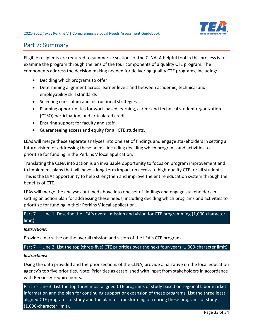

# <span id="page-32-0"></span>Part 7: Summary

Eligible recipients are required to summarize sections of the CLNA. A helpful tool in this process is to examine the program through the lens of the four components of a quality CTE program. The components address the decision making needed for delivering quality CTE programs, including:

- Deciding which programs to offer
- Determining alignment across learner levels and between academic, technical and employability skill standards
- Selecting curriculum and instructional strategies
- Planning opportunities for work-based learning, career and technical student organization (CTSO) participation, and articulated credit
- Ensuring support for faculty and staff
- Guaranteeing access and equity for all CTE students.

LEAs will merge these separate analyses into one set of findings and engage stakeholders in setting a future vision for addressing these needs, including deciding which programs and activities to prioritize for funding in the Perkins V local application.

Translating the CLNA into action is an invaluable opportunity to focus on program improvement and to implement plans that will have a long-term impact on access to high-quality CTE for all students. This is the LEAs opportunity to help strengthen and improve the entire education system through the benefits of CTE.

LEAs will merge the analyses outlined above into one set of findings and engage stakeholders in setting an action plan for addressing these needs, including deciding which programs and activities to prioritize for funding in their Perkins V local application.

# Part 7 - Line 1: Describe the LEA's overall mission and vision for CTE programming (1,000-character limit).

#### *Instructions:*

Provide a narrative on the overall mission and vision of the LEA's CTE program.

Part 7 – Line 2: List the top (three-five) CTE priorities over the next four-years (1,000-character limit).

#### *Instructions:*

Using the data provided and the prior sections of the CLNA, provide a narrative on the local education agency's top five priorities. Note: Priorities as established with input from stakeholders in accordance with Perkins V requirements.

Part 7 - Line 3: List the top three most aligned CTE programs of study based on regional labor market information and the plan for continuing support or expansion of these programs. List the three least aligned CTE programs of study and the plan for transforming or retiring these programs of study (1,000-character limit).